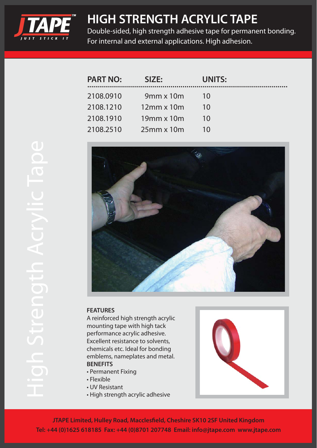

## **HIGH STRENGTH ACRYLIC TAPE**

Double-sided, high strength adhesive tape for permanent bonding. For internal and external applications. High adhesion.

| <b>PART NO:</b> | SIZE:            | <b>UNITS:</b> |
|-----------------|------------------|---------------|
| 2108.0910       | $9mm \times 10m$ | 10            |
| 2108.1210       | $12$ mm x $10m$  | 10            |
| 2108.1910       | $19$ mm x $10$ m | 10            |
| 2108.2510       | $25$ mm x $10$ m | 10            |



## **FEATURES**

A reinforced high strength acrylic mounting tape with high tack performance acrylic adhesive. Excellent resistance to solvents, chemicals etc. Ideal for bonding emblems, nameplates and metal. **BENEFITS**

- Permanent Fixing
- Flexible
- UV Resistant
- High strength acrylic adhesive



**JTAPE Limited, Hulley Road, Macclesfield, Cheshire SK10 2SF United Kingdom Tel: +44 (0)1625 618185 Fax: +44 (0)8701 207748 Email: info@jtape.com www.jtape.com**